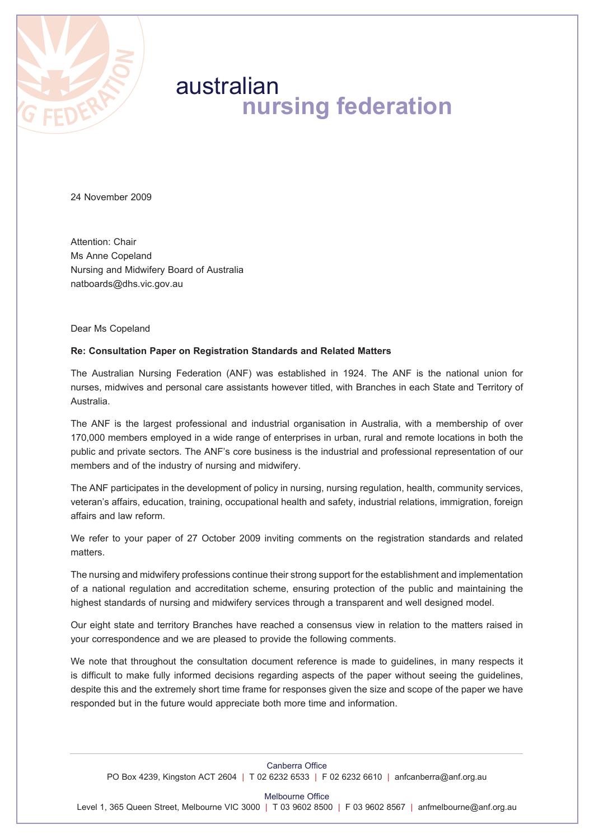

# australian **nursing federation**

24 November 2009

Attention: Chair Ms Anne Copeland Nursing and Midwifery Board of Australia natboards@dhs.vic.gov.au

Dear Ms Copeland

# **Re: Consultation Paper on Registration Standards and Related Matters**

The Australian Nursing Federation (ANF) was established in 1924. The ANF is the national union for nurses, midwives and personal care assistants however titled, with Branches in each State and Territory of Australia.

The ANF is the largest professional and industrial organisation in Australia, with a membership of over 170,000 members employed in a wide range of enterprises in urban, rural and remote locations in both the public and private sectors. The ANF's core business is the industrial and professional representation of our members and of the industry of nursing and midwifery.

The ANF participates in the development of policy in nursing, nursing regulation, health, community services, veteran's affairs, education, training, occupational health and safety, industrial relations, immigration, foreign affairs and law reform.

We refer to your paper of 27 October 2009 inviting comments on the registration standards and related matters.

The nursing and midwifery professions continue their strong support for the establishment and implementation of a national regulation and accreditation scheme, ensuring protection of the public and maintaining the highest standards of nursing and midwifery services through a transparent and well designed model.

Our eight state and territory Branches have reached a consensus view in relation to the matters raised in your correspondence and we are pleased to provide the following comments.

We note that throughout the consultation document reference is made to guidelines, in many respects it is difficult to make fully informed decisions regarding aspects of the paper without seeing the guidelines, despite this and the extremely short time frame for responses given the size and scope of the paper we have responded but in the future would appreciate both more time and information.

Canberra Office PO Box 4239, Kingston ACT 2604 | T 02 6232 6533 | F 02 6232 6610 | anfcanberra@anf.org.au

Melbourne Office

Level 1, 365 Queen Street, Melbourne VIC 3000 | T 03 9602 8500 | F 03 9602 8567 | anfmelbourne@anf.org.au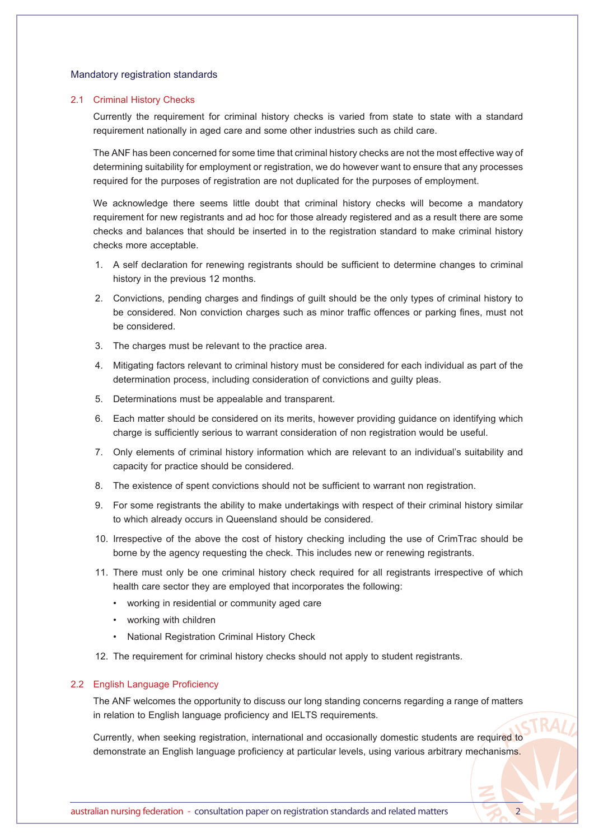# Mandatory registration standards

## 2.1 Criminal History Checks

Currently the requirement for criminal history checks is varied from state to state with a standard requirement nationally in aged care and some other industries such as child care.

The ANF has been concerned for some time that criminal history checks are not the most effective way of determining suitability for employment or registration, we do however want to ensure that any processes required for the purposes of registration are not duplicated for the purposes of employment.

We acknowledge there seems little doubt that criminal history checks will become a mandatory requirement for new registrants and ad hoc for those already registered and as a result there are some checks and balances that should be inserted in to the registration standard to make criminal history checks more acceptable.

- 1. A self declaration for renewing registrants should be sufficient to determine changes to criminal history in the previous 12 months.
- 2. Convictions, pending charges and findings of guilt should be the only types of criminal history to be considered. Non conviction charges such as minor traffic offences or parking fines, must not be considered.
- 3. The charges must be relevant to the practice area.
- 4. Mitigating factors relevant to criminal history must be considered for each individual as part of the determination process, including consideration of convictions and guilty pleas.
- 5. Determinations must be appealable and transparent.
- 6. Each matter should be considered on its merits, however providing guidance on identifying which charge is sufficiently serious to warrant consideration of non registration would be useful.
- 7. Only elements of criminal history information which are relevant to an individual's suitability and capacity for practice should be considered.
- 8. The existence of spent convictions should not be sufficient to warrant non registration.
- 9. For some registrants the ability to make undertakings with respect of their criminal history similar to which already occurs in Queensland should be considered.
- 10. Irrespective of the above the cost of history checking including the use of CrimTrac should be borne by the agency requesting the check. This includes new or renewing registrants.
- 11. There must only be one criminal history check required for all registrants irrespective of which health care sector they are employed that incorporates the following:
	- • working in residential or community aged care
	- • working with children
	- • National Registration Criminal History Check
- 12. The requirement for criminal history checks should not apply to student registrants.

## 2.2 English Language Proficiency

The ANF welcomes the opportunity to discuss our long standing concerns regarding a range of matters in relation to English language proficiency and IELTS requirements.

Currently, when seeking registration, international and occasionally domestic students are required to demonstrate an English language proficiency at particular levels, using various arbitrary mechanisms.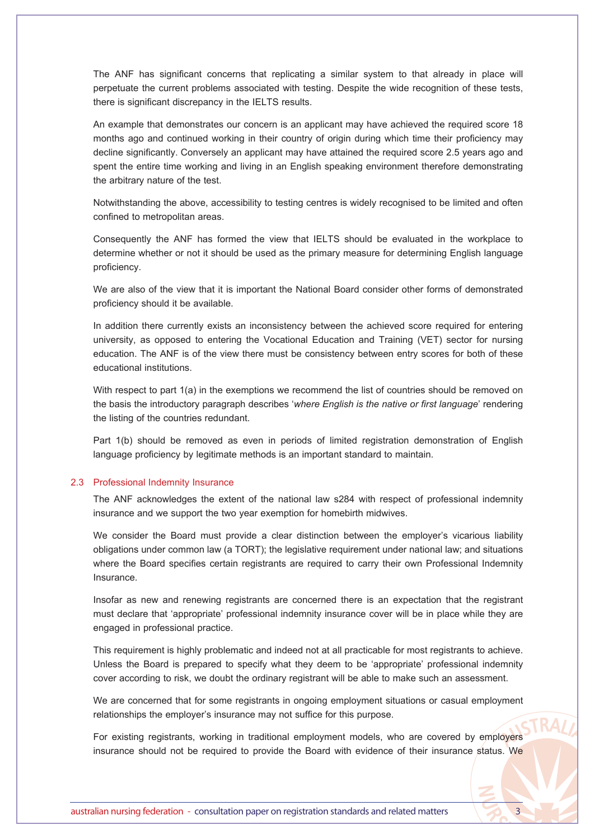The ANF has significant concerns that replicating a similar system to that already in place will perpetuate the current problems associated with testing. Despite the wide recognition of these tests, there is significant discrepancy in the IELTS results.

An example that demonstrates our concern is an applicant may have achieved the required score 18 months ago and continued working in their country of origin during which time their proficiency may decline significantly. Conversely an applicant may have attained the required score 2.5 years ago and spent the entire time working and living in an English speaking environment therefore demonstrating the arbitrary nature of the test.

Notwithstanding the above, accessibility to testing centres is widely recognised to be limited and often confined to metropolitan areas.

Consequently the ANF has formed the view that IELTS should be evaluated in the workplace to determine whether or not it should be used as the primary measure for determining English language proficiency.

We are also of the view that it is important the National Board consider other forms of demonstrated proficiency should it be available.

In addition there currently exists an inconsistency between the achieved score required for entering university, as opposed to entering the Vocational Education and Training (VET) sector for nursing education. The ANF is of the view there must be consistency between entry scores for both of these educational institutions.

With respect to part 1(a) in the exemptions we recommend the list of countries should be removed on the basis the introductory paragraph describes '*where English is the native or first language*' rendering the listing of the countries redundant.

Part 1(b) should be removed as even in periods of limited registration demonstration of English language proficiency by legitimate methods is an important standard to maintain.

# 2.3 Professional Indemnity Insurance

The ANF acknowledges the extent of the national law s284 with respect of professional indemnity insurance and we support the two year exemption for homebirth midwives.

We consider the Board must provide a clear distinction between the employer's vicarious liability obligations under common law (a TORT); the legislative requirement under national law; and situations where the Board specifies certain registrants are required to carry their own Professional Indemnity Insurance.

Insofar as new and renewing registrants are concerned there is an expectation that the registrant must declare that 'appropriate' professional indemnity insurance cover will be in place while they are engaged in professional practice.

This requirement is highly problematic and indeed not at all practicable for most registrants to achieve. Unless the Board is prepared to specify what they deem to be 'appropriate' professional indemnity cover according to risk, we doubt the ordinary registrant will be able to make such an assessment.

We are concerned that for some registrants in ongoing employment situations or casual employment relationships the employer's insurance may not suffice for this purpose.

For existing registrants, working in traditional employment models, who are covered by employers insurance should not be required to provide the Board with evidence of their insurance status. We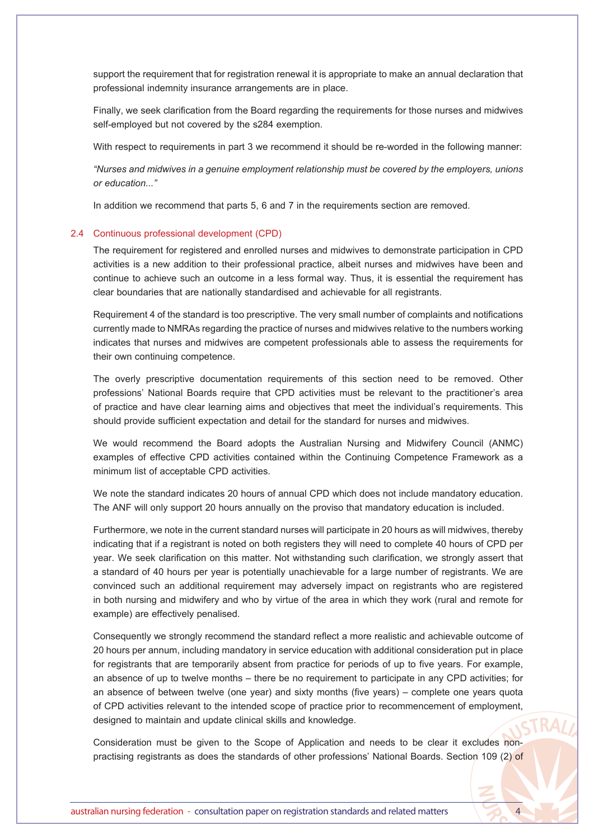support the requirement that for registration renewal it is appropriate to make an annual declaration that professional indemnity insurance arrangements are in place.

Finally, we seek clarification from the Board regarding the requirements for those nurses and midwives self-employed but not covered by the s284 exemption.

With respect to requirements in part 3 we recommend it should be re-worded in the following manner:

*"Nurses and midwives in a genuine employment relationship must be covered by the employers, unions or education..."*

In addition we recommend that parts 5, 6 and 7 in the requirements section are removed.

# 2.4 Continuous professional development (CPD)

The requirement for registered and enrolled nurses and midwives to demonstrate participation in CPD activities is a new addition to their professional practice, albeit nurses and midwives have been and continue to achieve such an outcome in a less formal way. Thus, it is essential the requirement has clear boundaries that are nationally standardised and achievable for all registrants.

Requirement 4 of the standard is too prescriptive. The very small number of complaints and notifications currently made to NMRAs regarding the practice of nurses and midwives relative to the numbers working indicates that nurses and midwives are competent professionals able to assess the requirements for their own continuing competence.

The overly prescriptive documentation requirements of this section need to be removed. Other professions' National Boards require that CPD activities must be relevant to the practitioner's area of practice and have clear learning aims and objectives that meet the individual's requirements. This should provide sufficient expectation and detail for the standard for nurses and midwives.

We would recommend the Board adopts the Australian Nursing and Midwifery Council (ANMC) examples of effective CPD activities contained within the Continuing Competence Framework as a minimum list of acceptable CPD activities.

We note the standard indicates 20 hours of annual CPD which does not include mandatory education. The ANF will only support 20 hours annually on the proviso that mandatory education is included.

Furthermore, we note in the current standard nurses will participate in 20 hours as will midwives, thereby indicating that if a registrant is noted on both registers they will need to complete 40 hours of CPD per year. We seek clarification on this matter. Not withstanding such clarification, we strongly assert that a standard of 40 hours per year is potentially unachievable for a large number of registrants. We are convinced such an additional requirement may adversely impact on registrants who are registered in both nursing and midwifery and who by virtue of the area in which they work (rural and remote for example) are effectively penalised.

Consequently we strongly recommend the standard reflect a more realistic and achievable outcome of 20 hours per annum, including mandatory in service education with additional consideration put in place for registrants that are temporarily absent from practice for periods of up to five years. For example, an absence of up to twelve months – there be no requirement to participate in any CPD activities; for an absence of between twelve (one year) and sixty months (five years) – complete one years quota of CPD activities relevant to the intended scope of practice prior to recommencement of employment, designed to maintain and update clinical skills and knowledge.

Consideration must be given to the Scope of Application and needs to be clear it excludes nonpractising registrants as does the standards of other professions' National Boards. Section 109 (2) of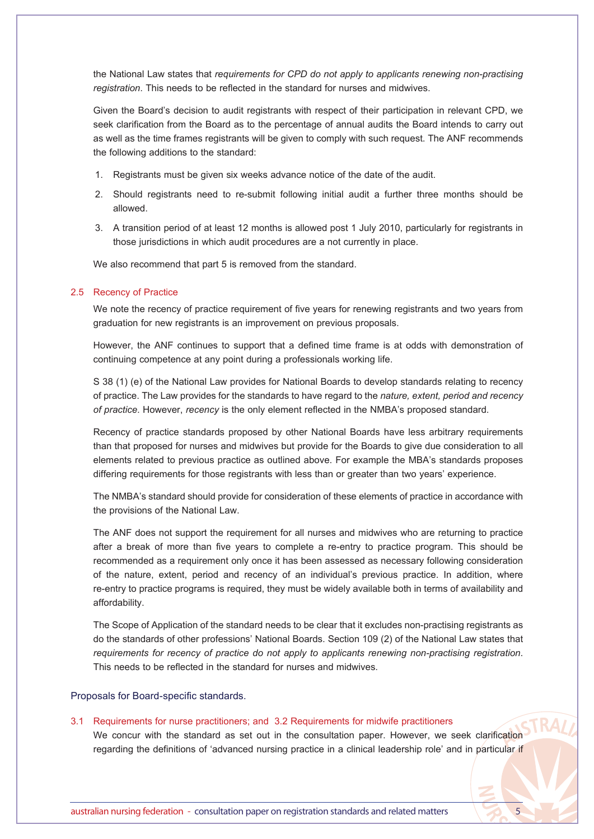the National Law states that *requirements for CPD do not apply to applicants renewing non-practising registration*. This needs to be reflected in the standard for nurses and midwives.

Given the Board's decision to audit registrants with respect of their participation in relevant CPD, we seek clarification from the Board as to the percentage of annual audits the Board intends to carry out as well as the time frames registrants will be given to comply with such request. The ANF recommends the following additions to the standard:

- 1. Registrants must be given six weeks advance notice of the date of the audit.
- 2. Should registrants need to re-submit following initial audit a further three months should be allowed.
- 3. A transition period of at least 12 months is allowed post 1 July 2010, particularly for registrants in those jurisdictions in which audit procedures are a not currently in place.

We also recommend that part 5 is removed from the standard.

## 2.5 Recency of Practice

We note the recency of practice requirement of five years for renewing registrants and two years from graduation for new registrants is an improvement on previous proposals.

However, the ANF continues to support that a defined time frame is at odds with demonstration of continuing competence at any point during a professionals working life.

S 38 (1) (e) of the National Law provides for National Boards to develop standards relating to recency of practice. The Law provides for the standards to have regard to the *nature, extent, period and recency of practice*. However, *recency* is the only element reflected in the NMBA's proposed standard.

Recency of practice standards proposed by other National Boards have less arbitrary requirements than that proposed for nurses and midwives but provide for the Boards to give due consideration to all elements related to previous practice as outlined above. For example the MBA's standards proposes differing requirements for those registrants with less than or greater than two years' experience.

The NMBA's standard should provide for consideration of these elements of practice in accordance with the provisions of the National Law.

The ANF does not support the requirement for all nurses and midwives who are returning to practice after a break of more than five years to complete a re-entry to practice program. This should be recommended as a requirement only once it has been assessed as necessary following consideration of the nature, extent, period and recency of an individual's previous practice. In addition, where re-entry to practice programs is required, they must be widely available both in terms of availability and affordability.

The Scope of Application of the standard needs to be clear that it excludes non-practising registrants as do the standards of other professions' National Boards. Section 109 (2) of the National Law states that *requirements for recency of practice do not apply to applicants renewing non-practising registration*. This needs to be reflected in the standard for nurses and midwives.

### Proposals for Board-specific standards.

### 3.1 Requirements for nurse practitioners; and 3.2 Requirements for midwife practitioners

We concur with the standard as set out in the consultation paper. However, we seek clarification regarding the definitions of 'advanced nursing practice in a clinical leadership role' and in particular if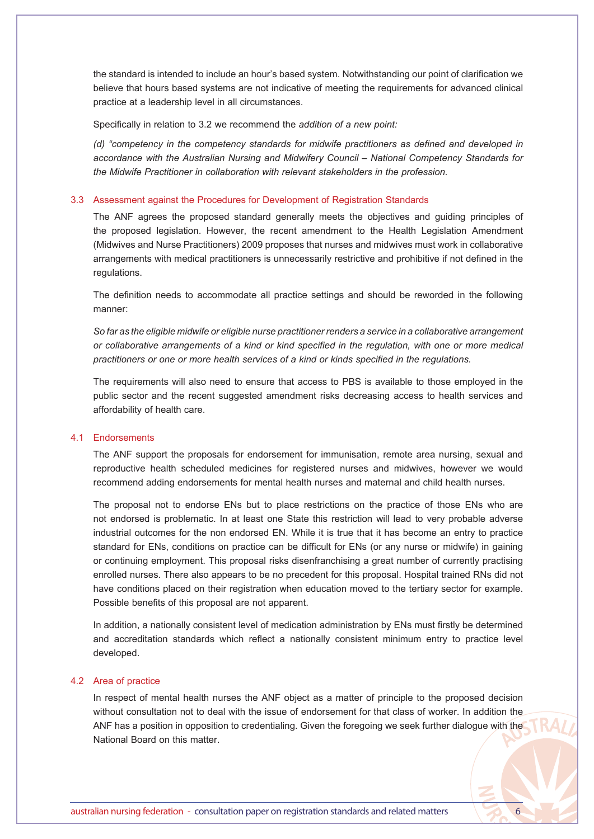the standard is intended to include an hour's based system. Notwithstanding our point of clarification we believe that hours based systems are not indicative of meeting the requirements for advanced clinical practice at a leadership level in all circumstances.

Specifically in relation to 3.2 we recommend the *addition of a new point:*

*(d) "competency in the competency standards for midwife practitioners as defined and developed in accordance with the Australian Nursing and Midwifery Council – National Competency Standards for the Midwife Practitioner in collaboration with relevant stakeholders in the profession.*

## 3.3 Assessment against the Procedures for Development of Registration Standards

The ANF agrees the proposed standard generally meets the objectives and guiding principles of the proposed legislation. However, the recent amendment to the Health Legislation Amendment (Midwives and Nurse Practitioners) 2009 proposes that nurses and midwives must work in collaborative arrangements with medical practitioners is unnecessarily restrictive and prohibitive if not defined in the regulations.

The definition needs to accommodate all practice settings and should be reworded in the following manner:

*So far as the eligible midwife or eligible nurse practitioner renders a service in a collaborative arrangement or collaborative arrangements of a kind or kind specified in the regulation, with one or more medical practitioners or one or more health services of a kind or kinds specified in the regulations.*

The requirements will also need to ensure that access to PBS is available to those employed in the public sector and the recent suggested amendment risks decreasing access to health services and affordability of health care.

# 4.1 Endorsements

The ANF support the proposals for endorsement for immunisation, remote area nursing, sexual and reproductive health scheduled medicines for registered nurses and midwives, however we would recommend adding endorsements for mental health nurses and maternal and child health nurses.

The proposal not to endorse ENs but to place restrictions on the practice of those ENs who are not endorsed is problematic. In at least one State this restriction will lead to very probable adverse industrial outcomes for the non endorsed EN. While it is true that it has become an entry to practice standard for ENs, conditions on practice can be difficult for ENs (or any nurse or midwife) in gaining or continuing employment. This proposal risks disenfranchising a great number of currently practising enrolled nurses. There also appears to be no precedent for this proposal. Hospital trained RNs did not have conditions placed on their registration when education moved to the tertiary sector for example. Possible benefits of this proposal are not apparent.

In addition, a nationally consistent level of medication administration by ENs must firstly be determined and accreditation standards which reflect a nationally consistent minimum entry to practice level developed.

# 4.2 Area of practice

In respect of mental health nurses the ANF object as a matter of principle to the proposed decision without consultation not to deal with the issue of endorsement for that class of worker. In addition the ANF has a position in opposition to credentialing. Given the foregoing we seek further dialogue with the National Board on this matter.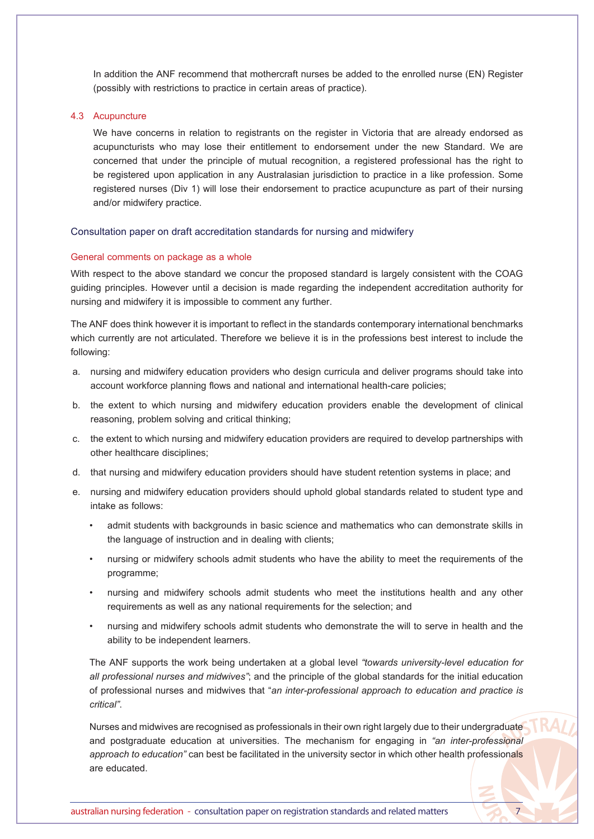In addition the ANF recommend that mothercraft nurses be added to the enrolled nurse (EN) Register (possibly with restrictions to practice in certain areas of practice).

# 4.3 Acupuncture

We have concerns in relation to registrants on the register in Victoria that are already endorsed as acupuncturists who may lose their entitlement to endorsement under the new Standard. We are concerned that under the principle of mutual recognition, a registered professional has the right to be registered upon application in any Australasian jurisdiction to practice in a like profession. Some registered nurses (Div 1) will lose their endorsement to practice acupuncture as part of their nursing and/or midwifery practice.

## Consultation paper on draft accreditation standards for nursing and midwifery

## General comments on package as a whole

With respect to the above standard we concur the proposed standard is largely consistent with the COAG guiding principles. However until a decision is made regarding the independent accreditation authority for nursing and midwifery it is impossible to comment any further.

The ANF does think however it is important to reflect in the standards contemporary international benchmarks which currently are not articulated. Therefore we believe it is in the professions best interest to include the following:

- a. nursing and midwifery education providers who design curricula and deliver programs should take into account workforce planning flows and national and international health-care policies;
- b. the extent to which nursing and midwifery education providers enable the development of clinical reasoning, problem solving and critical thinking;
- c. the extent to which nursing and midwifery education providers are required to develop partnerships with other healthcare disciplines;
- d. that nursing and midwifery education providers should have student retention systems in place; and
- e. nursing and midwifery education providers should uphold global standards related to student type and intake as follows:
	- admit students with backgrounds in basic science and mathematics who can demonstrate skills in the language of instruction and in dealing with clients;
	- nursing or midwifery schools admit students who have the ability to meet the requirements of the programme;
	- nursing and midwifery schools admit students who meet the institutions health and any other requirements as well as any national requirements for the selection; and
	- nursing and midwifery schools admit students who demonstrate the will to serve in health and the ability to be independent learners.

The ANF supports the work being undertaken at a global level *"towards university-level education for all professional nurses and midwives"*; and the principle of the global standards for the initial education of professional nurses and midwives that "*an inter-professional approach to education and practice is critical"*.

Nurses and midwives are recognised as professionals in their own right largely due to their undergraduate and postgraduate education at universities. The mechanism for engaging in *"an inter-professional approach to education"* can best be facilitated in the university sector in which other health professionals are educated.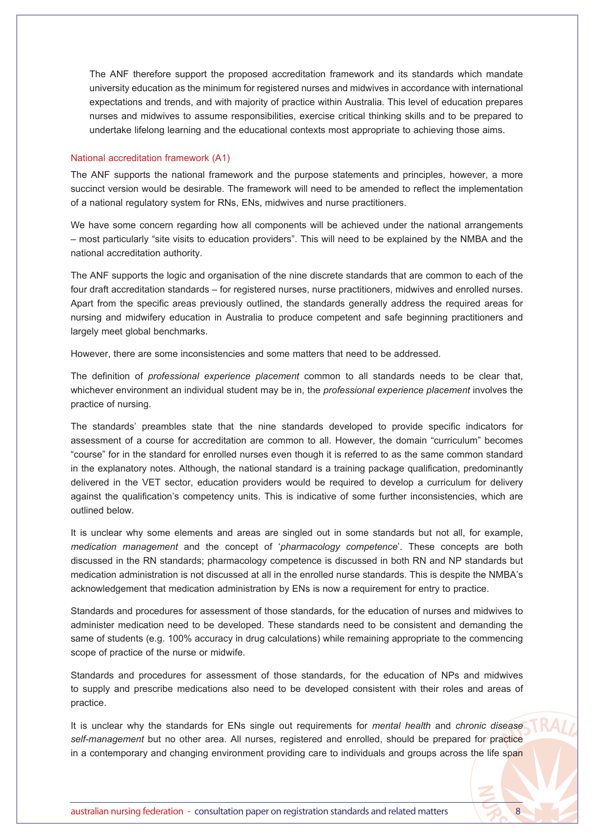The ANF therefore support the proposed accreditation framework and its standards which mandate university education as the minimum for registered nurses and midwives in accordance with international expectations and trends, and with majority of practice within Australia. This level of education prepares nurses and midwives to assume responsibilities, exercise critical thinking skills and to be prepared to undertake lifelong learning and the educational contexts most appropriate to achieving those aims.

## National accreditation framework (A1)

The ANF supports the national framework and the purpose statements and principles, however, a more succinct version would be desirable. The framework will need to be amended to reflect the implementation of a national regulatory system for RNs, ENs, midwives and nurse practitioners.

We have some concern regarding how all components will be achieved under the national arrangements – most particularly "site visits to education providers". This will need to be explained by the NMBA and the national accreditation authority.

The ANF supports the logic and organisation of the nine discrete standards that are common to each of the four draft accreditation standards – for registered nurses, nurse practitioners, midwives and enrolled nurses. Apart from the specific areas previously outlined, the standards generally address the required areas for nursing and midwifery education in Australia to produce competent and safe beginning practitioners and largely meet global benchmarks.

However, there are some inconsistencies and some matters that need to be addressed.

The definition of *professional experience placement* common to all standards needs to be clear that, whichever environment an individual student may be in, the *professional experience placement* involves the practice of nursing.

The standards' preambles state that the nine standards developed to provide specific indicators for assessment of a course for accreditation are common to all. However, the domain "curriculum" becomes "course" for in the standard for enrolled nurses even though it is referred to as the same common standard in the explanatory notes. Although, the national standard is a training package qualification, predominantly delivered in the VET sector, education providers would be required to develop a curriculum for delivery against the qualification's competency units. This is indicative of some further inconsistencies, which are outlined below.

It is unclear why some elements and areas are singled out in some standards but not all, for example, *medication management* and the concept of '*pharmacology competence*'. These concepts are both discussed in the RN standards; pharmacology competence is discussed in both RN and NP standards but medication administration is not discussed at all in the enrolled nurse standards. This is despite the NMBA's acknowledgement that medication administration by ENs is now a requirement for entry to practice.

Standards and procedures for assessment of those standards, for the education of nurses and midwives to administer medication need to be developed. These standards need to be consistent and demanding the same of students (e.g. 100% accuracy in drug calculations) while remaining appropriate to the commencing scope of practice of the nurse or midwife.

Standards and procedures for assessment of those standards, for the education of NPs and midwives to supply and prescribe medications also need to be developed consistent with their roles and areas of practice.

It is unclear why the standards for ENs single out requirements for *mental health* and *chronic disease self-management* but no other area. All nurses, registered and enrolled, should be prepared for practice in a contemporary and changing environment providing care to individuals and groups across the life span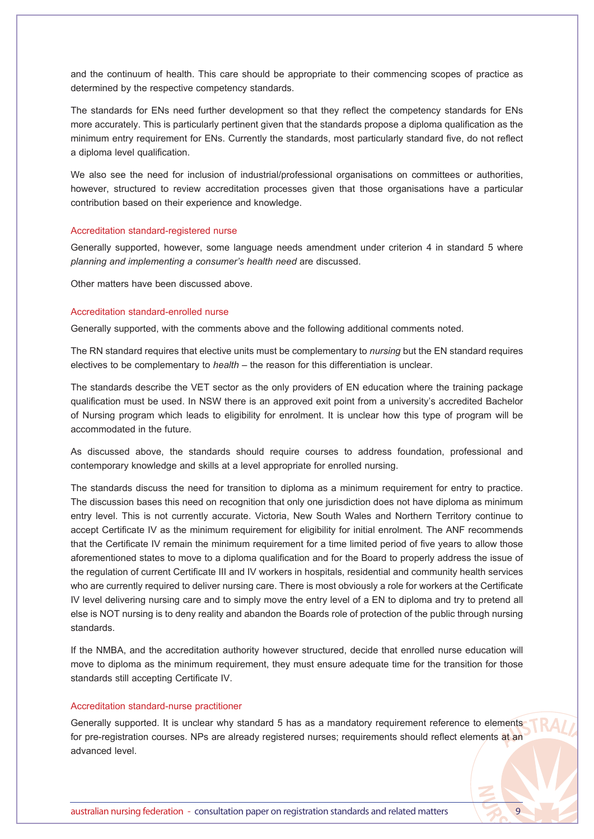and the continuum of health. This care should be appropriate to their commencing scopes of practice as determined by the respective competency standards.

The standards for ENs need further development so that they reflect the competency standards for ENs more accurately. This is particularly pertinent given that the standards propose a diploma qualification as the minimum entry requirement for ENs. Currently the standards, most particularly standard five, do not reflect a diploma level qualification.

We also see the need for inclusion of industrial/professional organisations on committees or authorities, however, structured to review accreditation processes given that those organisations have a particular contribution based on their experience and knowledge.

### Accreditation standard-registered nurse

Generally supported, however, some language needs amendment under criterion 4 in standard 5 where *planning and implementing a consumer's health need* are discussed.

Other matters have been discussed above.

# Accreditation standard-enrolled nurse

Generally supported, with the comments above and the following additional comments noted.

The RN standard requires that elective units must be complementary to *nursing* but the EN standard requires electives to be complementary to *health* – the reason for this differentiation is unclear.

The standards describe the VET sector as the only providers of EN education where the training package qualification must be used. In NSW there is an approved exit point from a university's accredited Bachelor of Nursing program which leads to eligibility for enrolment. It is unclear how this type of program will be accommodated in the future.

As discussed above, the standards should require courses to address foundation, professional and contemporary knowledge and skills at a level appropriate for enrolled nursing.

The standards discuss the need for transition to diploma as a minimum requirement for entry to practice. The discussion bases this need on recognition that only one jurisdiction does not have diploma as minimum entry level. This is not currently accurate. Victoria, New South Wales and Northern Territory continue to accept Certificate IV as the minimum requirement for eligibility for initial enrolment. The ANF recommends that the Certificate IV remain the minimum requirement for a time limited period of five years to allow those aforementioned states to move to a diploma qualification and for the Board to properly address the issue of the regulation of current Certificate III and IV workers in hospitals, residential and community health services who are currently required to deliver nursing care. There is most obviously a role for workers at the Certificate IV level delivering nursing care and to simply move the entry level of a EN to diploma and try to pretend all else is NOT nursing is to deny reality and abandon the Boards role of protection of the public through nursing standards.

If the NMBA, and the accreditation authority however structured, decide that enrolled nurse education will move to diploma as the minimum requirement, they must ensure adequate time for the transition for those standards still accepting Certificate IV.

# Accreditation standard-nurse practitioner

Generally supported. It is unclear why standard 5 has as a mandatory requirement reference to elements for pre-registration courses. NPs are already registered nurses; requirements should reflect elements at an advanced level.

australian nursing federation - consultation paper on registration standards and related matters 9